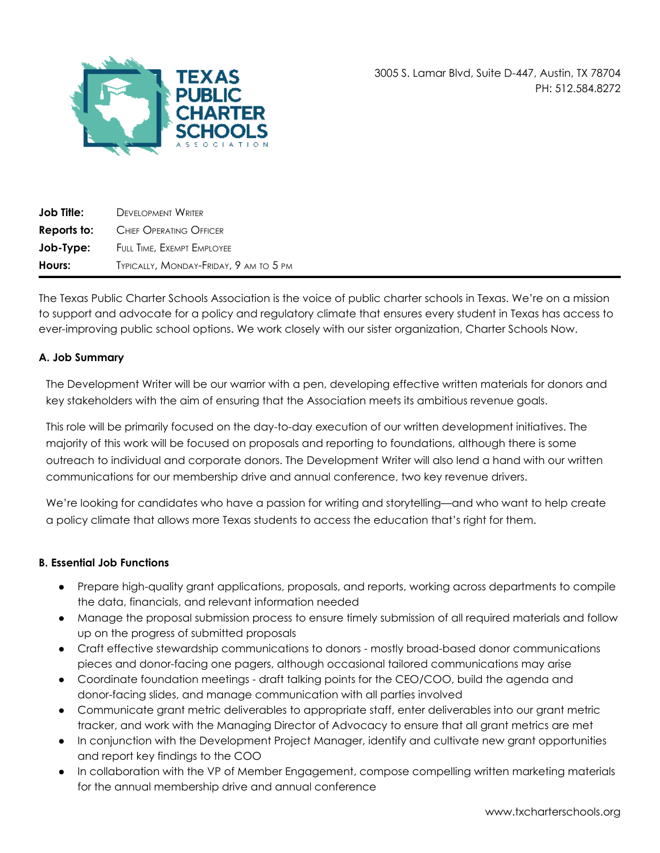

3005 S. Lamar Blvd, Suite D-447, Austin, TX 78704 PH: 512.584.8272

| <b>Job Title:</b> | <b>DEVELOPMENT WRITER</b>              |
|-------------------|----------------------------------------|
| Reports to:       | Chief Operating Officer                |
| Job-Type:         | FULL TIME, EXEMPT EMPLOYEE             |
| Hours:            | TYPICALLY, MONDAY-FRIDAY, 9 AM TO 5 PM |

The Texas Public Charter Schools Association is the voice of public charter schools in Texas. We're on a mission to support and advocate for a policy and regulatory climate that ensures every student in Texas has access to ever-improving public school options. We work closely with our sister organization, Charter Schools Now.

#### **A. Job Summary**

The Development Writer will be our warrior with a pen, developing effective written materials for donors and key stakeholders with the aim of ensuring that the Association meets its ambitious revenue goals.

This role will be primarily focused on the day-to-day execution of our written development initiatives. The majority of this work will be focused on proposals and reporting to foundations, although there is some outreach to individual and corporate donors. The Development Writer will also lend a hand with our written communications for our membership drive and annual conference, two key revenue drivers.

We're looking for candidates who have a passion for writing and storytelling—and who want to help create a policy climate that allows more Texas students to access the education that's right for them.

#### **B. Essential Job Functions**

- Prepare high-quality grant applications, proposals, and reports, working across departments to compile the data, financials, and relevant information needed
- Manage the proposal submission process to ensure timely submission of all required materials and follow up on the progress of submitted proposals
- Craft effective stewardship communications to donors mostly broad-based donor communications pieces and donor-facing one pagers, although occasional tailored communications may arise
- Coordinate foundation meetings draft talking points for the CEO/COO, build the agenda and donor-facing slides, and manage communication with all parties involved
- Communicate grant metric deliverables to appropriate staff, enter deliverables into our grant metric tracker, and work with the Managing Director of Advocacy to ensure that all grant metrics are met
- In conjunction with the Development Project Manager, identify and cultivate new grant opportunities and report key findings to the COO
- In collaboration with the VP of Member Engagement, compose compelling written marketing materials for the annual membership drive and annual conference